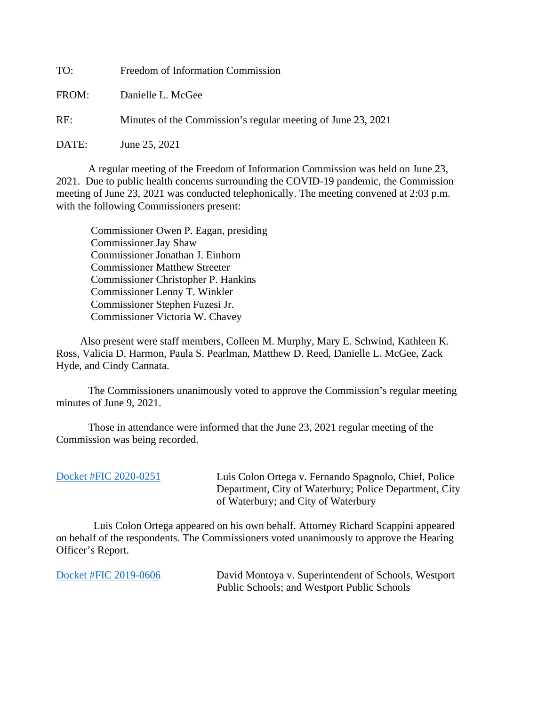TO: Freedom of Information Commission

FROM: Danielle L. McGee

RE: Minutes of the Commission's regular meeting of June 23, 2021

DATE: June 25, 2021

A regular meeting of the Freedom of Information Commission was held on June 23, 2021. Due to public health concerns surrounding the COVID-19 pandemic, the Commission meeting of June 23, 2021 was conducted telephonically. The meeting convened at 2:03 p.m. with the following Commissioners present:

 Commissioner Owen P. Eagan, presiding Commissioner Jay Shaw Commissioner Jonathan J. Einhorn Commissioner Matthew Streeter Commissioner Christopher P. Hankins Commissioner Lenny T. Winkler Commissioner Stephen Fuzesi Jr. Commissioner Victoria W. Chavey

 Also present were staff members, Colleen M. Murphy, Mary E. Schwind, Kathleen K. Ross, Valicia D. Harmon, Paula S. Pearlman, Matthew D. Reed, Danielle L. McGee, Zack Hyde, and Cindy Cannata.

The Commissioners unanimously voted to approve the Commission's regular meeting minutes of June 9, 2021.

 Those in attendance were informed that the June 23, 2021 regular meeting of the Commission was being recorded.

Luis Colon Ortega v. Fernando Spagnolo, Chief, Police Department, City of Waterbury; Police Department, City of Waterbury; and City of Waterbury

 Luis Colon Ortega appeared on his own behalf. Attorney Richard Scappini appeared on behalf of the respondents. The Commissioners voted unanimously to approve the Hearing Officer's Report.

[Docket #FIC 2019-0606](https://portal.ct.gov/-/media/FOI/FinalDecisions/2021/Jun23/2019-0606.pdf) David Montoya v. Superintendent of Schools, Westport Public Schools; and Westport Public Schools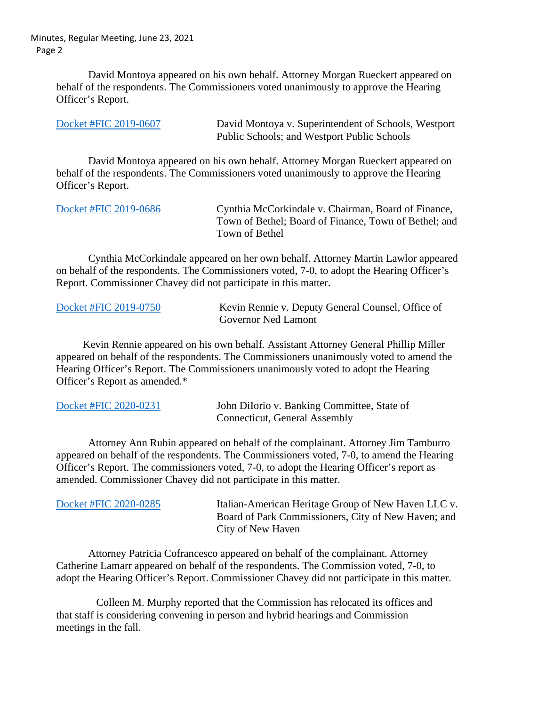Minutes, Regular Meeting, June 23, 2021 Page 2

> David Montoya appeared on his own behalf. Attorney Morgan Rueckert appeared on behalf of the respondents. The Commissioners voted unanimously to approve the Hearing Officer's Report.

| Docket #FIC 2019-0607 | David Montoya v. Superintendent of Schools, Westport |
|-----------------------|------------------------------------------------------|
|                       | Public Schools; and Westport Public Schools          |

David Montoya appeared on his own behalf. Attorney Morgan Rueckert appeared on behalf of the respondents. The Commissioners voted unanimously to approve the Hearing Officer's Report.

| Docket #FIC 2019-0686 | Cynthia McCorkindale v. Chairman, Board of Finance,   |
|-----------------------|-------------------------------------------------------|
|                       | Town of Bethel; Board of Finance, Town of Bethel; and |
|                       | Town of Bethel                                        |

Cynthia McCorkindale appeared on her own behalf. Attorney Martin Lawlor appeared on behalf of the respondents. The Commissioners voted, 7-0, to adopt the Hearing Officer's Report. Commissioner Chavey did not participate in this matter.

| Docket #FIC 2019-0750 | Kevin Rennie v. Deputy General Counsel, Office of |
|-----------------------|---------------------------------------------------|
|                       | <b>Governor Ned Lamont</b>                        |

 Kevin Rennie appeared on his own behalf. Assistant Attorney General Phillip Miller appeared on behalf of the respondents. The Commissioners unanimously voted to amend the Hearing Officer's Report. The Commissioners unanimously voted to adopt the Hearing Officer's Report as amended.\*

| Docket #FIC 2020-0231 | John Dilorio v. Banking Committee, State of |
|-----------------------|---------------------------------------------|
|                       | Connecticut, General Assembly               |

Attorney Ann Rubin appeared on behalf of the complainant. Attorney Jim Tamburro appeared on behalf of the respondents. The Commissioners voted, 7-0, to amend the Hearing Officer's Report. The commissioners voted, 7-0, to adopt the Hearing Officer's report as amended. Commissioner Chavey did not participate in this matter.

| Docket #FIC 2020-0285 | Italian-American Heritage Group of New Haven LLC v. |
|-----------------------|-----------------------------------------------------|
|                       | Board of Park Commissioners, City of New Haven; and |
|                       | City of New Haven                                   |

Attorney Patricia Cofrancesco appeared on behalf of the complainant. Attorney Catherine Lamarr appeared on behalf of the respondents. The Commission voted, 7-0, to adopt the Hearing Officer's Report. Commissioner Chavey did not participate in this matter.

 Colleen M. Murphy reported that the Commission has relocated its offices and that staff is considering convening in person and hybrid hearings and Commission meetings in the fall.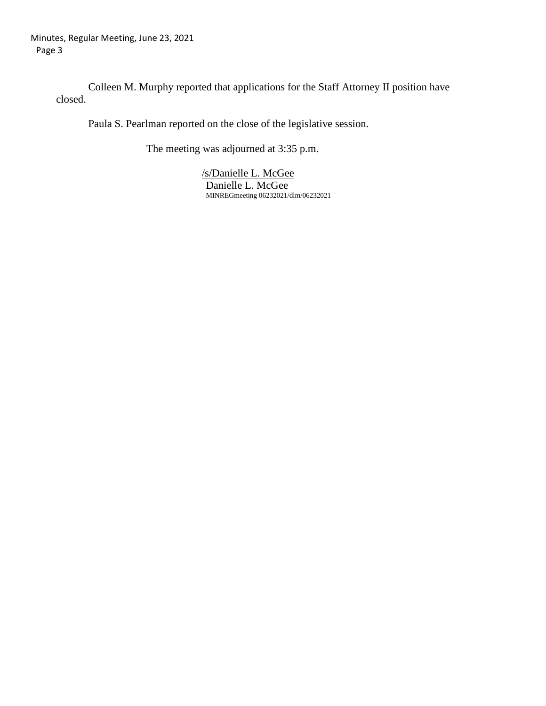Colleen M. Murphy reported that applications for the Staff Attorney II position have closed.

Paula S. Pearlman reported on the close of the legislative session.

The meeting was adjourned at 3:35 p.m.

 /s/Danielle L. McGee Danielle L. McGee MINREGmeeting 06232021/dlm/06232021